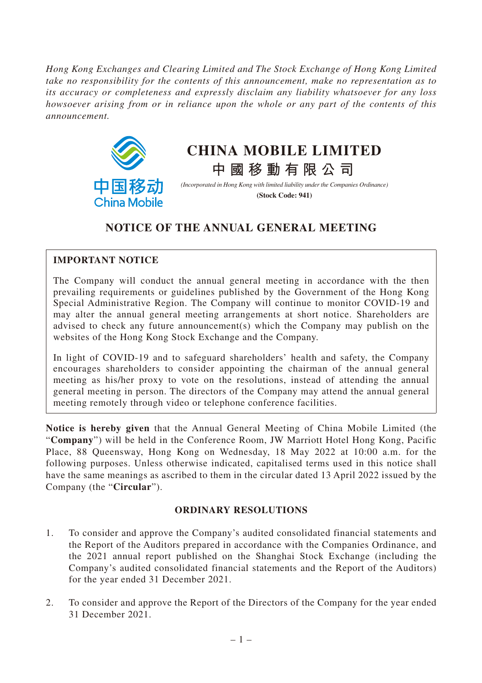*Hong Kong Exchanges and Clearing Limited and The Stock Exchange of Hong Kong Limited take no responsibility for the contents of this announcement, make no representation as to its accuracy or completeness and expressly disclaim any liability whatsoever for any loss howsoever arising from or in reliance upon the whole or any part of the contents of this announcement.*



# **CHINA MOBILE LIMITED**

**中國移動有限公司** *(Incorporated in Hong Kong with limited liability under the Companies Ordinance)* **(Stock Code: 941)**

## **NOTICE OF THE ANNUAL GENERAL MEETING**

### **IMPORTANT NOTICE**

The Company will conduct the annual general meeting in accordance with the then prevailing requirements or guidelines published by the Government of the Hong Kong Special Administrative Region. The Company will continue to monitor COVID-19 and may alter the annual general meeting arrangements at short notice. Shareholders are advised to check any future announcement(s) which the Company may publish on the websites of the Hong Kong Stock Exchange and the Company.

In light of COVID-19 and to safeguard shareholders' health and safety, the Company encourages shareholders to consider appointing the chairman of the annual general meeting as his/her proxy to vote on the resolutions, instead of attending the annual general meeting in person. The directors of the Company may attend the annual general meeting remotely through video or telephone conference facilities.

**Notice is hereby given** that the Annual General Meeting of China Mobile Limited (the "**Company**") will be held in the Conference Room, JW Marriott Hotel Hong Kong, Pacific Place, 88 Queensway, Hong Kong on Wednesday, 18 May 2022 at 10:00 a.m. for the following purposes. Unless otherwise indicated, capitalised terms used in this notice shall have the same meanings as ascribed to them in the circular dated 13 April 2022 issued by the Company (the "**Circular**").

### **ORDINARY RESOLUTIONS**

- 1. To consider and approve the Company's audited consolidated financial statements and the Report of the Auditors prepared in accordance with the Companies Ordinance, and the 2021 annual report published on the Shanghai Stock Exchange (including the Company's audited consolidated financial statements and the Report of the Auditors) for the year ended 31 December 2021.
- 2. To consider and approve the Report of the Directors of the Company for the year ended 31 December 2021.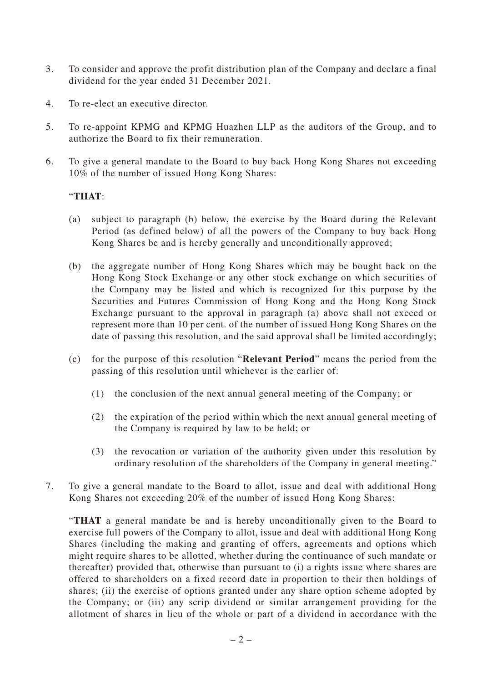- 3. To consider and approve the profit distribution plan of the Company and declare a final dividend for the year ended 31 December 2021.
- 4. To re-elect an executive director.
- 5. To re-appoint KPMG and KPMG Huazhen LLP as the auditors of the Group, and to authorize the Board to fix their remuneration.
- 6. To give a general mandate to the Board to buy back Hong Kong Shares not exceeding 10% of the number of issued Hong Kong Shares:

#### "**THAT**:

- (a) subject to paragraph (b) below, the exercise by the Board during the Relevant Period (as defined below) of all the powers of the Company to buy back Hong Kong Shares be and is hereby generally and unconditionally approved;
- (b) the aggregate number of Hong Kong Shares which may be bought back on the Hong Kong Stock Exchange or any other stock exchange on which securities of the Company may be listed and which is recognized for this purpose by the Securities and Futures Commission of Hong Kong and the Hong Kong Stock Exchange pursuant to the approval in paragraph (a) above shall not exceed or represent more than 10 per cent. of the number of issued Hong Kong Shares on the date of passing this resolution, and the said approval shall be limited accordingly;
- (c) for the purpose of this resolution "**Relevant Period**" means the period from the passing of this resolution until whichever is the earlier of:
	- (1) the conclusion of the next annual general meeting of the Company; or
	- (2) the expiration of the period within which the next annual general meeting of the Company is required by law to be held; or
	- (3) the revocation or variation of the authority given under this resolution by ordinary resolution of the shareholders of the Company in general meeting."
- 7. To give a general mandate to the Board to allot, issue and deal with additional Hong Kong Shares not exceeding 20% of the number of issued Hong Kong Shares:

"**THAT** a general mandate be and is hereby unconditionally given to the Board to exercise full powers of the Company to allot, issue and deal with additional Hong Kong Shares (including the making and granting of offers, agreements and options which might require shares to be allotted, whether during the continuance of such mandate or thereafter) provided that, otherwise than pursuant to (i) a rights issue where shares are offered to shareholders on a fixed record date in proportion to their then holdings of shares; (ii) the exercise of options granted under any share option scheme adopted by the Company; or (iii) any scrip dividend or similar arrangement providing for the allotment of shares in lieu of the whole or part of a dividend in accordance with the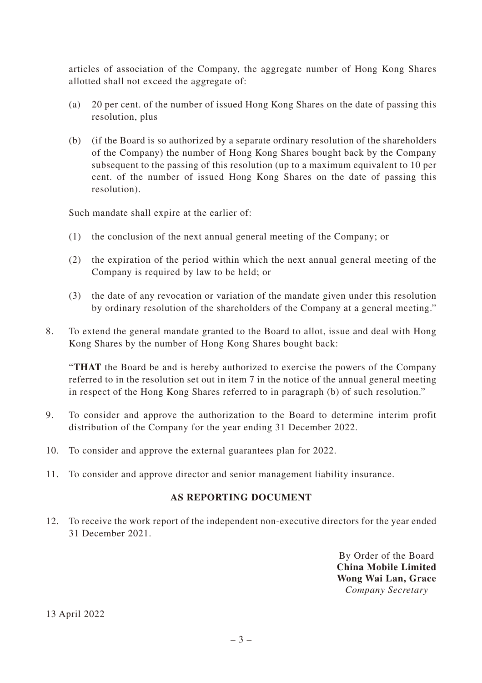articles of association of the Company, the aggregate number of Hong Kong Shares allotted shall not exceed the aggregate of:

- (a) 20 per cent. of the number of issued Hong Kong Shares on the date of passing this resolution, plus
- (b) (if the Board is so authorized by a separate ordinary resolution of the shareholders of the Company) the number of Hong Kong Shares bought back by the Company subsequent to the passing of this resolution (up to a maximum equivalent to 10 per cent. of the number of issued Hong Kong Shares on the date of passing this resolution).

Such mandate shall expire at the earlier of:

- (1) the conclusion of the next annual general meeting of the Company; or
- (2) the expiration of the period within which the next annual general meeting of the Company is required by law to be held; or
- (3) the date of any revocation or variation of the mandate given under this resolution by ordinary resolution of the shareholders of the Company at a general meeting."
- 8. To extend the general mandate granted to the Board to allot, issue and deal with Hong Kong Shares by the number of Hong Kong Shares bought back:

"**THAT** the Board be and is hereby authorized to exercise the powers of the Company referred to in the resolution set out in item 7 in the notice of the annual general meeting in respect of the Hong Kong Shares referred to in paragraph (b) of such resolution."

- 9. To consider and approve the authorization to the Board to determine interim profit distribution of the Company for the year ending 31 December 2022.
- 10. To consider and approve the external guarantees plan for 2022.
- 11. To consider and approve director and senior management liability insurance.

#### **AS REPORTING DOCUMENT**

12. To receive the work report of the independent non-executive directors for the year ended 31 December 2021.

> By Order of the Board **China Mobile Limited Wong Wai Lan, Grace** *Company Secretary*

13 April 2022